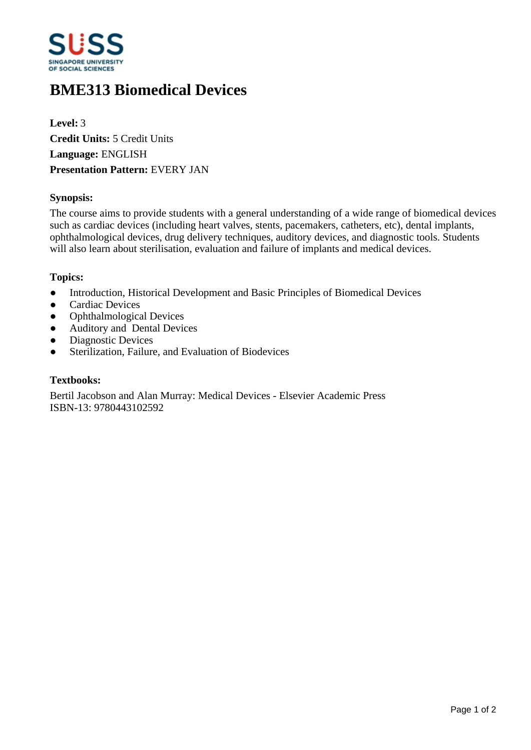

# **BME313 Biomedical Devices**

**Level:** 3 **Credit Units:** 5 Credit Units **Language:** ENGLISH **Presentation Pattern:** EVERY JAN

### **Synopsis:**

The course aims to provide students with a general understanding of a wide range of biomedical devices such as cardiac devices (including heart valves, stents, pacemakers, catheters, etc), dental implants, ophthalmological devices, drug delivery techniques, auditory devices, and diagnostic tools. Students will also learn about sterilisation, evaluation and failure of implants and medical devices.

#### **Topics:**

- Introduction, Historical Development and Basic Principles of Biomedical Devices
- Cardiac Devices
- Ophthalmological Devices
- Auditory and Dental Devices
- Diagnostic Devices
- Sterilization, Failure, and Evaluation of Biodevices

#### **Textbooks:**

Bertil Jacobson and Alan Murray: Medical Devices - Elsevier Academic Press ISBN-13: 9780443102592